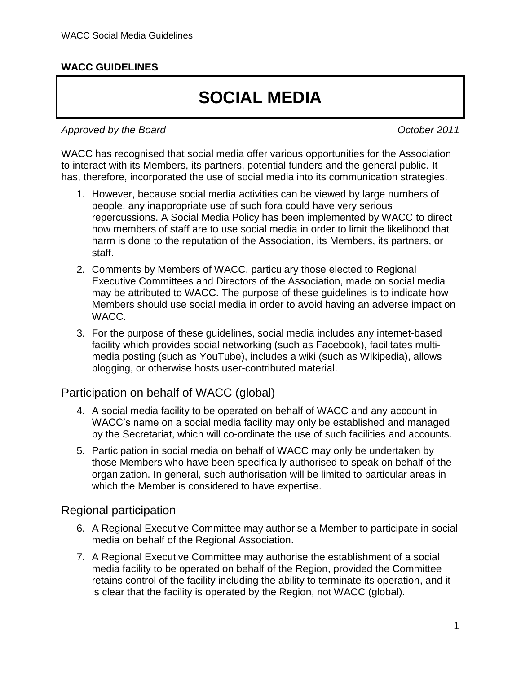#### **WACC GUIDELINES**

# **SOCIAL MEDIA**

*Approved by the Board October 2011*

WACC has recognised that social media offer various opportunities for the Association to interact with its Members, its partners, potential funders and the general public. It has, therefore, incorporated the use of social media into its communication strategies.

- 1. However, because social media activities can be viewed by large numbers of people, any inappropriate use of such fora could have very serious repercussions. A Social Media Policy has been implemented by WACC to direct how members of staff are to use social media in order to limit the likelihood that harm is done to the reputation of the Association, its Members, its partners, or staff.
- 2. Comments by Members of WACC, particulary those elected to Regional Executive Committees and Directors of the Association, made on social media may be attributed to WACC. The purpose of these guidelines is to indicate how Members should use social media in order to avoid having an adverse impact on WACC.
- 3. For the purpose of these guidelines, social media includes any internet-based facility which provides social networking (such as Facebook), facilitates multimedia posting (such as YouTube), includes a wiki (such as Wikipedia), allows blogging, or otherwise hosts user-contributed material.

#### Participation on behalf of WACC (global)

- 4. A social media facility to be operated on behalf of WACC and any account in WACC's name on a social media facility may only be established and managed by the Secretariat, which will co-ordinate the use of such facilities and accounts.
- 5. Participation in social media on behalf of WACC may only be undertaken by those Members who have been specifically authorised to speak on behalf of the organization. In general, such authorisation will be limited to particular areas in which the Member is considered to have expertise.

Regional participation

- 6. A Regional Executive Committee may authorise a Member to participate in social media on behalf of the Regional Association.
- 7. A Regional Executive Committee may authorise the establishment of a social media facility to be operated on behalf of the Region, provided the Committee retains control of the facility including the ability to terminate its operation, and it is clear that the facility is operated by the Region, not WACC (global).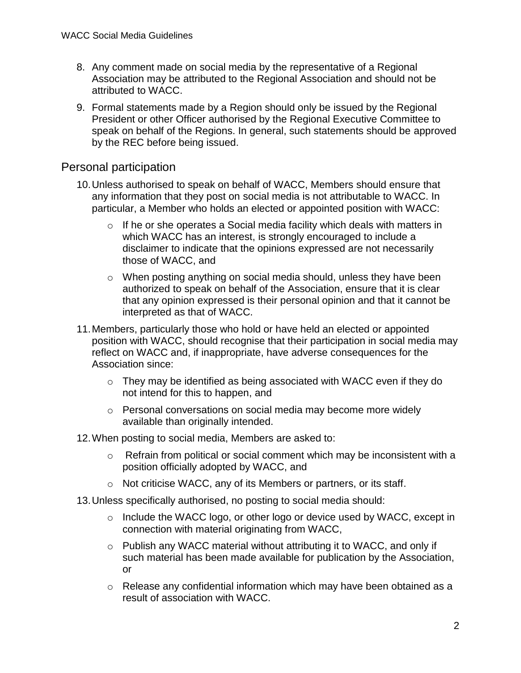- 8. Any comment made on social media by the representative of a Regional Association may be attributed to the Regional Association and should not be attributed to WACC.
- 9. Formal statements made by a Region should only be issued by the Regional President or other Officer authorised by the Regional Executive Committee to speak on behalf of the Regions. In general, such statements should be approved by the REC before being issued.

### Personal participation

- 10.Unless authorised to speak on behalf of WACC, Members should ensure that any information that they post on social media is not attributable to WACC. In particular, a Member who holds an elected or appointed position with WACC:
	- o If he or she operates a Social media facility which deals with matters in which WACC has an interest, is strongly encouraged to include a disclaimer to indicate that the opinions expressed are not necessarily those of WACC, and
	- o When posting anything on social media should, unless they have been authorized to speak on behalf of the Association, ensure that it is clear that any opinion expressed is their personal opinion and that it cannot be interpreted as that of WACC.
- 11.Members, particularly those who hold or have held an elected or appointed position with WACC, should recognise that their participation in social media may reflect on WACC and, if inappropriate, have adverse consequences for the Association since:
	- $\circ$  They may be identified as being associated with WACC even if they do not intend for this to happen, and
	- o Personal conversations on social media may become more widely available than originally intended.
- 12.When posting to social media, Members are asked to:
	- $\circ$  Refrain from political or social comment which may be inconsistent with a position officially adopted by WACC, and
	- o Not criticise WACC, any of its Members or partners, or its staff.
- 13.Unless specifically authorised, no posting to social media should:
	- o Include the WACC logo, or other logo or device used by WACC, except in connection with material originating from WACC,
	- $\circ$  Publish any WACC material without attributing it to WACC, and only if such material has been made available for publication by the Association, or
	- o Release any confidential information which may have been obtained as a result of association with WACC.